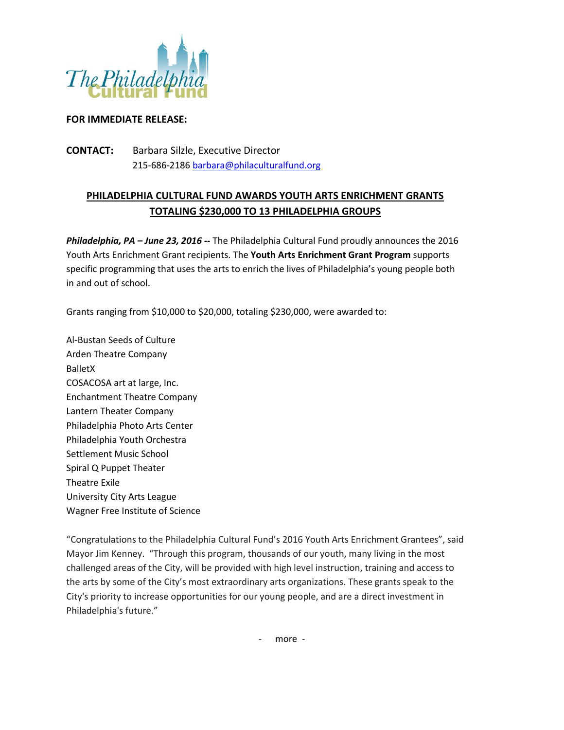

## **FOR IMMEDIATE RELEASE:**

**CONTACT:** Barbara Silzle, Executive Director 215-686-2186 [barbara@philaculturalfund.org](mailto:barbara@philaculturalfund.org)

# **PHILADELPHIA CULTURAL FUND AWARDS YOUTH ARTS ENRICHMENT GRANTS TOTALING \$230,000 TO 13 PHILADELPHIA GROUPS**

*Philadelphia, PA – June 23, 2016* **--** The Philadelphia Cultural Fund proudly announces the 2016 Youth Arts Enrichment Grant recipients. The **Youth Arts Enrichment Grant Program** supports specific programming that uses the arts to enrich the lives of Philadelphia's young people both in and out of school.

Grants ranging from \$10,000 to \$20,000, totaling \$230,000, were awarded to:

Al-Bustan Seeds of Culture Arden Theatre Company BalletX COSACOSA art at large, Inc. Enchantment Theatre Company Lantern Theater Company Philadelphia Photo Arts Center Philadelphia Youth Orchestra Settlement Music School Spiral Q Puppet Theater Theatre Exile University City Arts League Wagner Free Institute of Science

"Congratulations to the Philadelphia Cultural Fund's 2016 Youth Arts Enrichment Grantees", said Mayor Jim Kenney. "Through this program, thousands of our youth, many living in the most challenged areas of the City, will be provided with high level instruction, training and access to the arts by some of the City's most extraordinary arts organizations. These grants speak to the City's priority to increase opportunities for our young people, and are a direct investment in Philadelphia's future."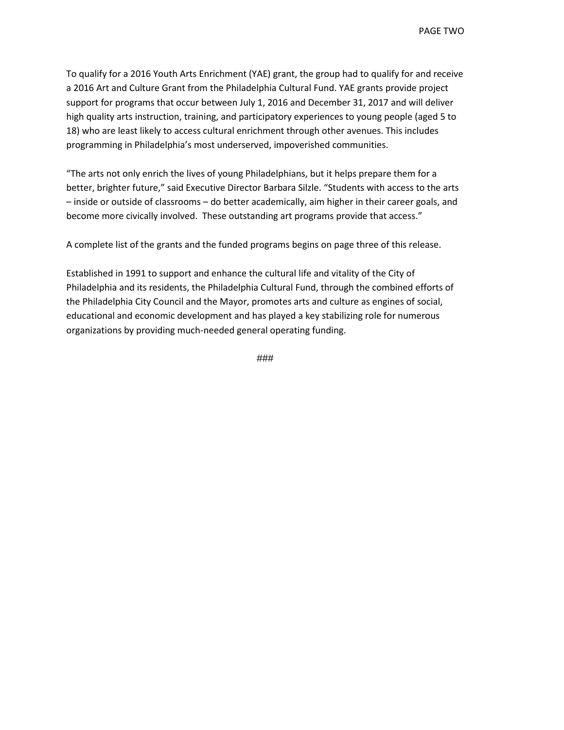To qualify for a 2016 Youth Arts Enrichment (YAE) grant, the group had to qualify for and receive a 2016 Art and Culture Grant from the Philadelphia Cultural Fund. YAE grants provide project support for programs that occur between July 1, 2016 and December 31, 2017 and will deliver high quality arts instruction, training, and participatory experiences to young people (aged 5 to 18) who are least likely to access cultural enrichment through other avenues. This includes programming in Philadelphia's most underserved, impoverished communities.

"The arts not only enrich the lives of young Philadelphians, but it helps prepare them for a better, brighter future," said Executive Director Barbara Silzle. "Students with access to the arts – inside or outside of classrooms – do better academically, aim higher in their career goals, and become more civically involved. These outstanding art programs provide that access."

A complete list of the grants and the funded programs begins on page three of this release.

Established in 1991 to support and enhance the cultural life and vitality of the City of Philadelphia and its residents, the Philadelphia Cultural Fund, through the combined efforts of the Philadelphia City Council and the Mayor, promotes arts and culture as engines of social, educational and economic development and has played a key stabilizing role for numerous organizations by providing much-needed general operating funding.

###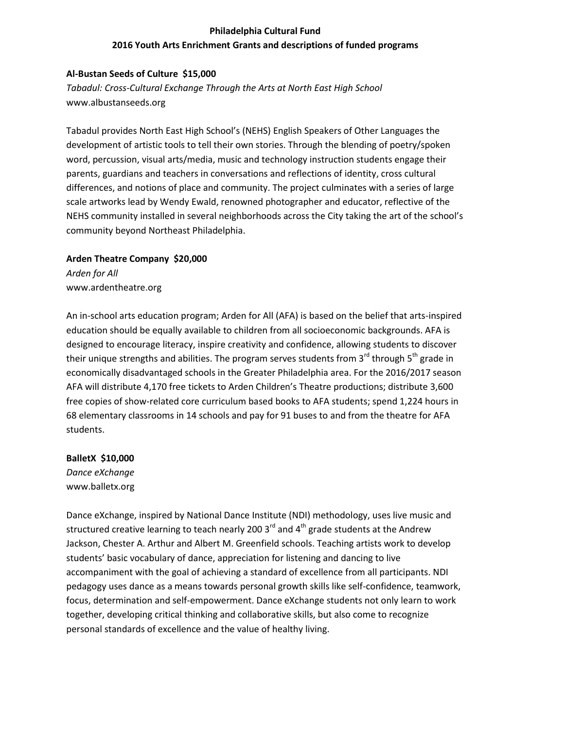## **Philadelphia Cultural Fund 2016 Youth Arts Enrichment Grants and descriptions of funded programs**

## **Al-Bustan Seeds of Culture \$15,000**

*Tabadul: Cross-Cultural Exchange Through the Arts at North East High School* www.albustanseeds.org

Tabadul provides North East High School's (NEHS) English Speakers of Other Languages the development of artistic tools to tell their own stories. Through the blending of poetry/spoken word, percussion, visual arts/media, music and technology instruction students engage their parents, guardians and teachers in conversations and reflections of identity, cross cultural differences, and notions of place and community. The project culminates with a series of large scale artworks lead by Wendy Ewald, renowned photographer and educator, reflective of the NEHS community installed in several neighborhoods across the City taking the art of the school's community beyond Northeast Philadelphia.

## **Arden Theatre Company \$20,000** *Arden for All* www.ardentheatre.org

An in-school arts education program; Arden for All (AFA) is based on the belief that arts-inspired education should be equally available to children from all socioeconomic backgrounds. AFA is designed to encourage literacy, inspire creativity and confidence, allowing students to discover their unique strengths and abilities. The program serves students from  $3^{rd}$  through  $5^{th}$  grade in economically disadvantaged schools in the Greater Philadelphia area. For the 2016/2017 season AFA will distribute 4,170 free tickets to Arden Children's Theatre productions; distribute 3,600 free copies of show-related core curriculum based books to AFA students; spend 1,224 hours in 68 elementary classrooms in 14 schools and pay for 91 buses to and from the theatre for AFA students.

**BalletX \$10,000** *Dance eXchange* www.balletx.org

Dance eXchange, inspired by National Dance Institute (NDI) methodology, uses live music and structured creative learning to teach nearly 200  $3<sup>rd</sup>$  and  $4<sup>th</sup>$  grade students at the Andrew Jackson, Chester A. Arthur and Albert M. Greenfield schools. Teaching artists work to develop students' basic vocabulary of dance, appreciation for listening and dancing to live accompaniment with the goal of achieving a standard of excellence from all participants. NDI pedagogy uses dance as a means towards personal growth skills like self-confidence, teamwork, focus, determination and self-empowerment. Dance eXchange students not only learn to work together, developing critical thinking and collaborative skills, but also come to recognize personal standards of excellence and the value of healthy living.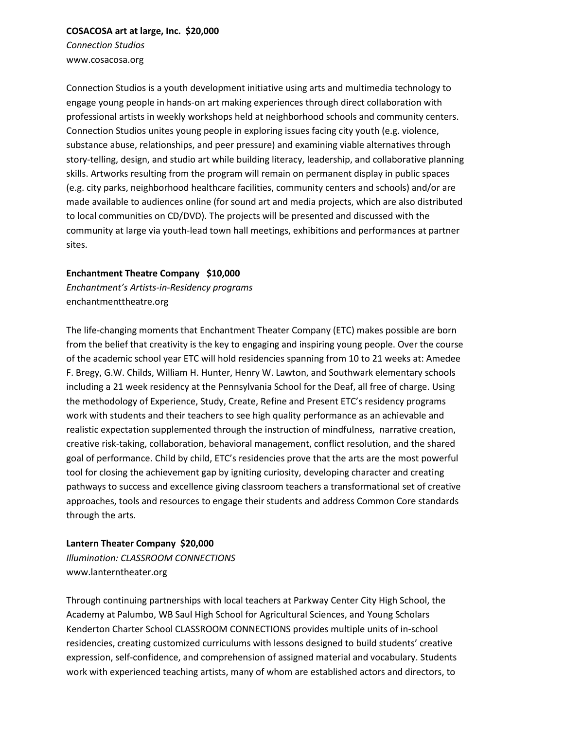### **COSACOSA art at large, Inc. \$20,000**

*Connection Studios* www.cosacosa.org

Connection Studios is a youth development initiative using arts and multimedia technology to engage young people in hands-on art making experiences through direct collaboration with professional artists in weekly workshops held at neighborhood schools and community centers. Connection Studios unites young people in exploring issues facing city youth (e.g. violence, substance abuse, relationships, and peer pressure) and examining viable alternatives through story-telling, design, and studio art while building literacy, leadership, and collaborative planning skills. Artworks resulting from the program will remain on permanent display in public spaces (e.g. city parks, neighborhood healthcare facilities, community centers and schools) and/or are made available to audiences online (for sound art and media projects, which are also distributed to local communities on CD/DVD). The projects will be presented and discussed with the community at large via youth-lead town hall meetings, exhibitions and performances at partner sites.

## **Enchantment Theatre Company \$10,000**

*Enchantment's Artists-in-Residency programs* enchantmenttheatre.org

The life-changing moments that Enchantment Theater Company (ETC) makes possible are born from the belief that creativity is the key to engaging and inspiring young people. Over the course of the academic school year ETC will hold residencies spanning from 10 to 21 weeks at: Amedee F. Bregy, G.W. Childs, William H. Hunter, Henry W. Lawton, and Southwark elementary schools including a 21 week residency at the Pennsylvania School for the Deaf, all free of charge. Using the methodology of Experience, Study, Create, Refine and Present ETC's residency programs work with students and their teachers to see high quality performance as an achievable and realistic expectation supplemented through the instruction of mindfulness, narrative creation, creative risk-taking, collaboration, behavioral management, conflict resolution, and the shared goal of performance. Child by child, ETC's residencies prove that the arts are the most powerful tool for closing the achievement gap by igniting curiosity, developing character and creating pathways to success and excellence giving classroom teachers a transformational set of creative approaches, tools and resources to engage their students and address Common Core standards through the arts.

## **Lantern Theater Company \$20,000**

*Illumination: CLASSROOM CONNECTIONS* www.lanterntheater.org

Through continuing partnerships with local teachers at Parkway Center City High School, the Academy at Palumbo, WB Saul High School for Agricultural Sciences, and Young Scholars Kenderton Charter School CLASSROOM CONNECTIONS provides multiple units of in-school residencies, creating customized curriculums with lessons designed to build students' creative expression, self-confidence, and comprehension of assigned material and vocabulary. Students work with experienced teaching artists, many of whom are established actors and directors, to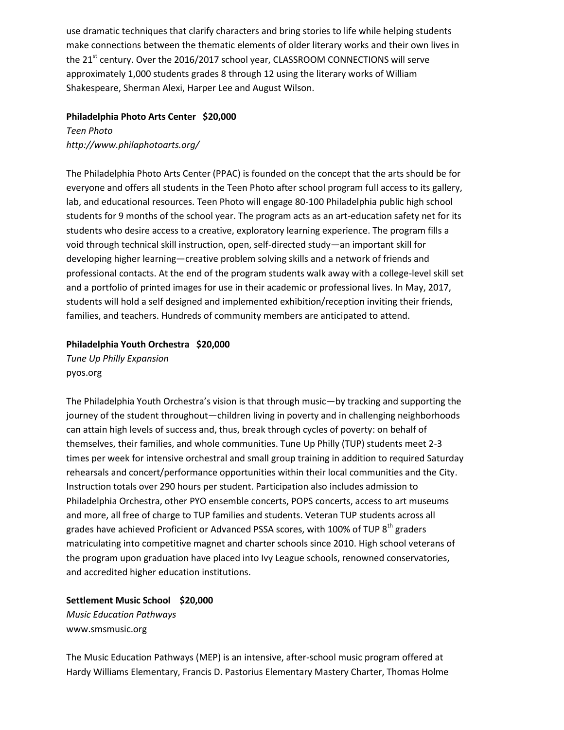use dramatic techniques that clarify characters and bring stories to life while helping students make connections between the thematic elements of older literary works and their own lives in the 21<sup>st</sup> century. Over the 2016/2017 school year, CLASSROOM CONNECTIONS will serve approximately 1,000 students grades 8 through 12 using the literary works of William Shakespeare, Sherman Alexi, Harper Lee and August Wilson.

### **Philadelphia Photo Arts Center \$20,000**

*Teen Photo http://www.philaphotoarts.org/*

The Philadelphia Photo Arts Center (PPAC) is founded on the concept that the arts should be for everyone and offers all students in the Teen Photo after school program full access to its gallery, lab, and educational resources. Teen Photo will engage 80-100 Philadelphia public high school students for 9 months of the school year. The program acts as an art-education safety net for its students who desire access to a creative, exploratory learning experience. The program fills a void through technical skill instruction, open, self-directed study—an important skill for developing higher learning—creative problem solving skills and a network of friends and professional contacts. At the end of the program students walk away with a college-level skill set and a portfolio of printed images for use in their academic or professional lives. In May, 2017, students will hold a self designed and implemented exhibition/reception inviting their friends, families, and teachers. Hundreds of community members are anticipated to attend.

## **Philadelphia Youth Orchestra \$20,000**

*Tune Up Philly Expansion* pyos.org

The Philadelphia Youth Orchestra's vision is that through music—by tracking and supporting the journey of the student throughout—children living in poverty and in challenging neighborhoods can attain high levels of success and, thus, break through cycles of poverty: on behalf of themselves, their families, and whole communities. Tune Up Philly (TUP) students meet 2-3 times per week for intensive orchestral and small group training in addition to required Saturday rehearsals and concert/performance opportunities within their local communities and the City. Instruction totals over 290 hours per student. Participation also includes admission to Philadelphia Orchestra, other PYO ensemble concerts, POPS concerts, access to art museums and more, all free of charge to TUP families and students. Veteran TUP students across all grades have achieved Proficient or Advanced PSSA scores, with 100% of TUP  $8<sup>th</sup>$  graders matriculating into competitive magnet and charter schools since 2010. High school veterans of the program upon graduation have placed into Ivy League schools, renowned conservatories, and accredited higher education institutions.

**Settlement Music School \$20,000** *Music Education Pathways* www.smsmusic.org

The Music Education Pathways (MEP) is an intensive, after-school music program offered at Hardy Williams Elementary, Francis D. Pastorius Elementary Mastery Charter, Thomas Holme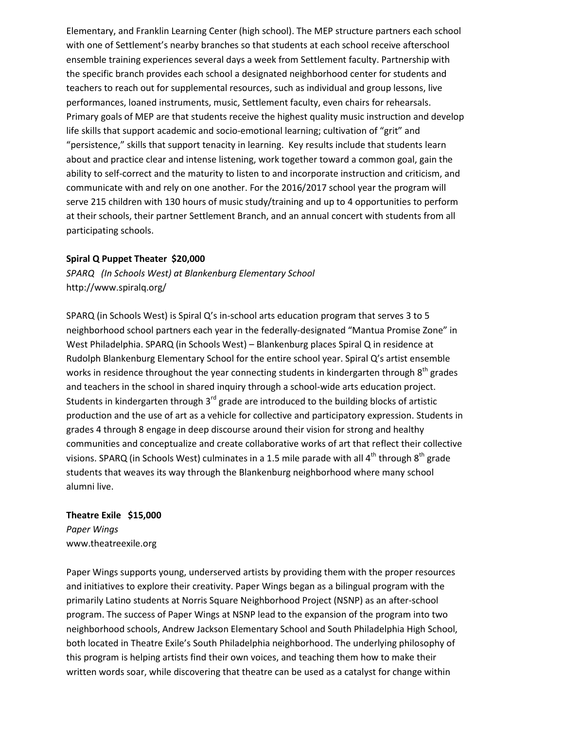Elementary, and Franklin Learning Center (high school). The MEP structure partners each school with one of Settlement's nearby branches so that students at each school receive afterschool ensemble training experiences several days a week from Settlement faculty. Partnership with the specific branch provides each school a designated neighborhood center for students and teachers to reach out for supplemental resources, such as individual and group lessons, live performances, loaned instruments, music, Settlement faculty, even chairs for rehearsals. Primary goals of MEP are that students receive the highest quality music instruction and develop life skills that support academic and socio-emotional learning; cultivation of "grit" and "persistence," skills that support tenacity in learning. Key results include that students learn about and practice clear and intense listening, work together toward a common goal, gain the ability to self-correct and the maturity to listen to and incorporate instruction and criticism, and communicate with and rely on one another. For the 2016/2017 school year the program will serve 215 children with 130 hours of music study/training and up to 4 opportunities to perform at their schools, their partner Settlement Branch, and an annual concert with students from all participating schools.

## **Spiral Q Puppet Theater \$20,000**

*SPARQ (In Schools West) at Blankenburg Elementary School* http://www.spiralq.org/

SPARQ (in Schools West) is Spiral Q's in-school arts education program that serves 3 to 5 neighborhood school partners each year in the federally-designated "Mantua Promise Zone" in West Philadelphia. SPARQ (in Schools West) – Blankenburg places Spiral Q in residence at Rudolph Blankenburg Elementary School for the entire school year. Spiral Q's artist ensemble works in residence throughout the year connecting students in kindergarten through 8<sup>th</sup> grades and teachers in the school in shared inquiry through a school-wide arts education project. Students in kindergarten through  $3<sup>rd</sup>$  grade are introduced to the building blocks of artistic production and the use of art as a vehicle for collective and participatory expression. Students in grades 4 through 8 engage in deep discourse around their vision for strong and healthy communities and conceptualize and create collaborative works of art that reflect their collective visions. SPARQ (in Schools West) culminates in a 1.5 mile parade with all  $4^{th}$  through  $8^{th}$  grade students that weaves its way through the Blankenburg neighborhood where many school alumni live.

#### **Theatre Exile \$15,000**

*Paper Wings* www.theatreexile.org

Paper Wings supports young, underserved artists by providing them with the proper resources and initiatives to explore their creativity. Paper Wings began as a bilingual program with the primarily Latino students at Norris Square Neighborhood Project (NSNP) as an after-school program. The success of Paper Wings at NSNP lead to the expansion of the program into two neighborhood schools, Andrew Jackson Elementary School and South Philadelphia High School, both located in Theatre Exile's South Philadelphia neighborhood. The underlying philosophy of this program is helping artists find their own voices, and teaching them how to make their written words soar, while discovering that theatre can be used as a catalyst for change within